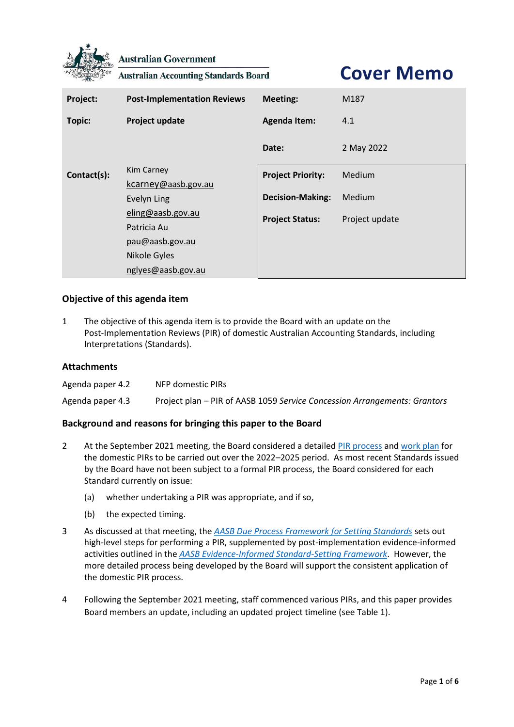

**Australian Government** 

**Australian Accounting Standards Board** 

**Cover Memo**

| Project:      | <b>Post-Implementation Reviews</b> | <b>Meeting:</b>          | M187           |  |  |  |  |
|---------------|------------------------------------|--------------------------|----------------|--|--|--|--|
| <b>Topic:</b> | Project update                     | <b>Agenda Item:</b>      | 4.1            |  |  |  |  |
|               |                                    | Date:                    | 2 May 2022     |  |  |  |  |
| Contact(s):   | Kim Carney                         | <b>Project Priority:</b> | Medium         |  |  |  |  |
|               | kcarney@aasb.gov.au                |                          |                |  |  |  |  |
|               | Evelyn Ling                        | <b>Decision-Making:</b>  | Medium         |  |  |  |  |
|               | eling@aasb.gov.au                  | <b>Project Status:</b>   | Project update |  |  |  |  |
|               | Patricia Au                        |                          |                |  |  |  |  |
|               | pau@aasb.gov.au                    |                          |                |  |  |  |  |
|               | Nikole Gyles                       |                          |                |  |  |  |  |
|               | nglyes@aasb.gov.au                 |                          |                |  |  |  |  |

## **Objective of this agenda item**

1 The objective of this agenda item is to provide the Board with an update on the Post-Implementation Reviews (PIR) of domestic Australian Accounting Standards, including Interpretations (Standards).

#### **Attachments**

| Agenda paper 4.2 | NFP domestic PIRs                                                         |
|------------------|---------------------------------------------------------------------------|
| Agenda paper 4.3 | Project plan - PIR of AASB 1059 Service Concession Arrangements: Grantors |

### **Background and reasons for bringing this paper to the Board**

- 2 At the September 2021 meeting, the Board considered a detaile[d PIR process](https://www.aasb.gov.au/media/ap1lacco/14-1-0_sp_postimplementationreviewoverview_m183_pp.pdf) an[d work plan](https://www.aasb.gov.au/media/0itjkhzi/14-2_sp_postimplementationreviewplanning_m183_pp.pdf) for the domestic PIRs to be carried out over the 2022–2025 period. As most recent Standards issued by the Board have not been subject to a formal PIR process, the Board considered for each Standard currently on issue:
	- (a) whether undertaking a PIR was appropriate, and if so,
	- (b) the expected timing.
- 3 As discussed at that meeting, the *[AASB Due Process Framework for Setting Standards](https://www.aasb.gov.au/admin/file/content102/c3/AASB_Due_Process_Framework_09-19.pdf)* sets out high-level steps for performing a PIR, supplemented by post-implementation evidence-informed activities outlined in the *[AASB Evidence-Informed Standard-Setting Framework](https://www.aasb.gov.au/admin/file/content102/c3/AASB_EISSF.pdf)*. However, the more detailed process being developed by the Board will support the consistent application of the domestic PIR process.
- 4 Following the September 2021 meeting, staff commenced various PIRs, and this paper provides Board members an update, including an updated project timeline (se[e Table 1\)](#page-4-0).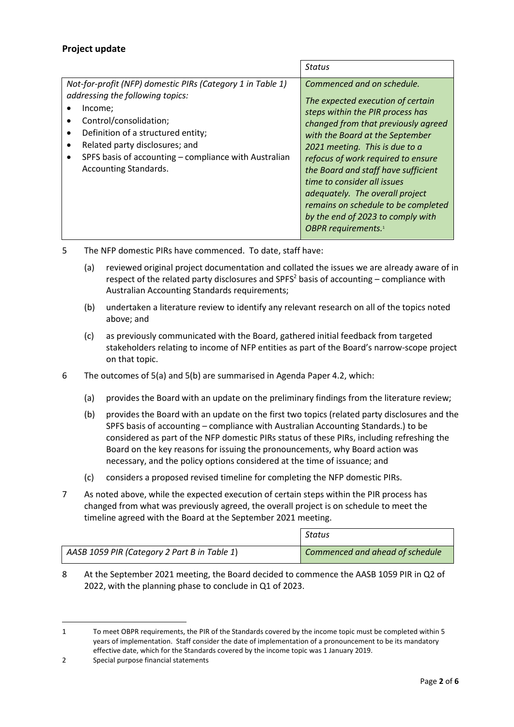# **Project update**

|                                                                                                                                                                                                                                                                                                    | Status                                                                                                                                                                                                                                                                                                                                                                                                                                                                        |
|----------------------------------------------------------------------------------------------------------------------------------------------------------------------------------------------------------------------------------------------------------------------------------------------------|-------------------------------------------------------------------------------------------------------------------------------------------------------------------------------------------------------------------------------------------------------------------------------------------------------------------------------------------------------------------------------------------------------------------------------------------------------------------------------|
| Not-for-profit (NFP) domestic PIRs (Category 1 in Table 1)<br>addressing the following topics:<br>Income;<br>Control/consolidation;<br>Definition of a structured entity;<br>Related party disclosures; and<br>SPFS basis of accounting - compliance with Australian<br>٠<br>Accounting Standards. | Commenced and on schedule.<br>The expected execution of certain<br>steps within the PIR process has<br>changed from that previously agreed<br>with the Board at the September<br>2021 meeting. This is due to a<br>refocus of work required to ensure<br>the Board and staff have sufficient<br>time to consider all issues<br>adequately. The overall project<br>remains on schedule to be completed<br>by the end of 2023 to comply with<br>OBPR requirements. <sup>1</sup> |

<span id="page-1-0"></span>5 The NFP domestic PIRs have commenced. To date, staff have:

- (a) reviewed original project documentation and collated the issues we are already aware of in respect of the related party disclosures and SPFS<sup>2</sup> basis of accounting  $-$  compliance with Australian Accounting Standards requirements;
- <span id="page-1-1"></span>(b) undertaken a literature review to identify any relevant research on all of the topics noted above; and
- (c) as previously communicated with the Board, gathered initial feedback from targeted stakeholders relating to income of NFP entities as part of the Board's narrow-scope project on that topic.
- 6 The outcomes of [5\(a\)](#page-1-0) an[d 5\(b\)](#page-1-1) are summarised in Agenda Paper 4.2, which:
	- (a) provides the Board with an update on the preliminary findings from the literature review;
	- (b) provides the Board with an update on the first two topics (related party disclosures and the SPFS basis of accounting – compliance with Australian Accounting Standards.) to be considered as part of the NFP domestic PIRs status of these PIRs, including refreshing the Board on the key reasons for issuing the pronouncements, why Board action was necessary, and the policy options considered at the time of issuance; and
	- (c) considers a proposed revised timeline for completing the NFP domestic PIRs.
- 7 As noted above, while the expected execution of certain steps within the PIR process has changed from what was previously agreed, the overall project is on schedule to meet the timeline agreed with the Board at the September 2021 meeting.

|                                              | Status                          |
|----------------------------------------------|---------------------------------|
| AASB 1059 PIR (Category 2 Part B in Table 1) | Commenced and ahead of schedule |

8 At the September 2021 meeting, the Board decided to commence the AASB 1059 PIR in Q2 of 2022, with the planning phase to conclude in Q1 of 2023.

<sup>1</sup> To meet OBPR requirements, the PIR of the Standards covered by the income topic must be completed within 5 years of implementation. Staff consider the date of implementation of a pronouncement to be its mandatory effective date, which for the Standards covered by the income topic was 1 January 2019.

<sup>2</sup> Special purpose financial statements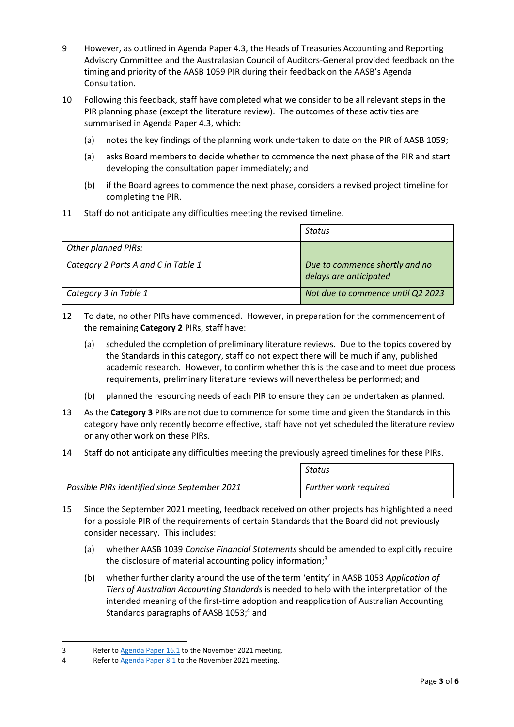- 9 However, as outlined in Agenda Paper 4.3, the Heads of Treasuries Accounting and Reporting Advisory Committee and the Australasian Council of Auditors-General provided feedback on the timing and priority of the AASB 1059 PIR during their feedback on the AASB's Agenda Consultation.
- 10 Following this feedback, staff have completed what we consider to be all relevant steps in the PIR planning phase (except the literature review). The outcomes of these activities are summarised in Agenda Paper 4.3, which:
	- (a) notes the key findings of the planning work undertaken to date on the PIR of AASB 1059;
	- (a) asks Board members to decide whether to commence the next phase of the PIR and start developing the consultation paper immediately; and
	- (b) if the Board agrees to commence the next phase, considers a revised project timeline for completing the PIR.
- 11 Staff do not anticipate any difficulties meeting the revised timeline.

|                                     | Status                                                   |
|-------------------------------------|----------------------------------------------------------|
| <b>Other planned PIRs:</b>          |                                                          |
| Category 2 Parts A and C in Table 1 | Due to commence shortly and no<br>delays are anticipated |
| Category 3 in Table 1               | Not due to commence until Q2 2023                        |

- 12 To date, no other PIRs have commenced. However, in preparation for the commencement of the remaining **Category 2** PIRs, staff have:
	- (a) scheduled the completion of preliminary literature reviews. Due to the topics covered by the Standards in this category, staff do not expect there will be much if any, published academic research. However, to confirm whether this is the case and to meet due process requirements, preliminary literature reviews will nevertheless be performed; and
	- (b) planned the resourcing needs of each PIR to ensure they can be undertaken as planned.
- 13 As the **Category 3** PIRs are not due to commence for some time and given the Standards in this category have only recently become effective, staff have not yet scheduled the literature review or any other work on these PIRs.
- 14 Staff do not anticipate any difficulties meeting the previously agreed timelines for these PIRs.

|                                               | Status                       |
|-----------------------------------------------|------------------------------|
| Possible PIRs identified since September 2021 | <b>Further work required</b> |

- <span id="page-2-1"></span><span id="page-2-0"></span>15 Since the September 2021 meeting, feedback received on other projects has highlighted a need for a possible PIR of the requirements of certain Standards that the Board did not previously consider necessary. This includes:
	- (a) whether AASB 1039 *Concise Financial Statements* should be amended to explicitly require the disclosure of material accounting policy information;<sup>3</sup>
	- (b) whether further clarity around the use of the term 'entity' in AASB 1053 *Application of Tiers of Australian Accounting Standards* is needed to help with the interpretation of the intended meaning of the first-time adoption and reapplication of Australian Accounting Standards paragraphs of AASB 1053;<sup>4</sup> and

<sup>3</sup> Refer t[o Agenda Paper 16.1](https://www.aasb.gov.au/media/ibrhdxxs/16-1_sp_ed312submissions_m184_pp.pdf) to the November 2021 meeting.

<sup>4</sup> Refer t[o Agenda Paper 8.1](https://www.aasb.gov.au/media/1jgggpie/8-1_sp_aasb1_aasb1053_m185_pp.pdf) to the November 2021 meeting.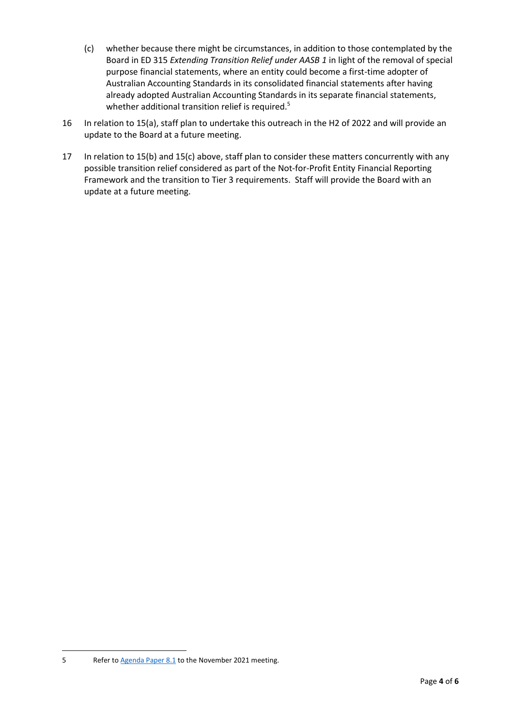- <span id="page-3-0"></span>(c) whether because there might be circumstances, in addition to those contemplated by the Board in ED 315 *Extending Transition Relief under AASB 1* in light of the removal of special purpose financial statements, where an entity could become a first-time adopter of Australian Accounting Standards in its consolidated financial statements after having already adopted Australian Accounting Standards in its separate financial statements, whether additional transition relief is required.<sup>5</sup>
- 16 In relation to [15\(a\),](#page-2-0) staff plan to undertake this outreach in the H2 of 2022 and will provide an update to the Board at a future meeting.
- 17 In relation to [15\(b\)](#page-2-1) an[d 15\(c\)](#page-3-0) above, staff plan to consider these matters concurrently with any possible transition relief considered as part of the Not-for-Profit Entity Financial Reporting Framework and the transition to Tier 3 requirements. Staff will provide the Board with an update at a future meeting.

<sup>5</sup> Refer t[o Agenda Paper 8.1](https://www.aasb.gov.au/media/1jgggpie/8-1_sp_aasb1_aasb1053_m185_pp.pdf) to the November 2021 meeting.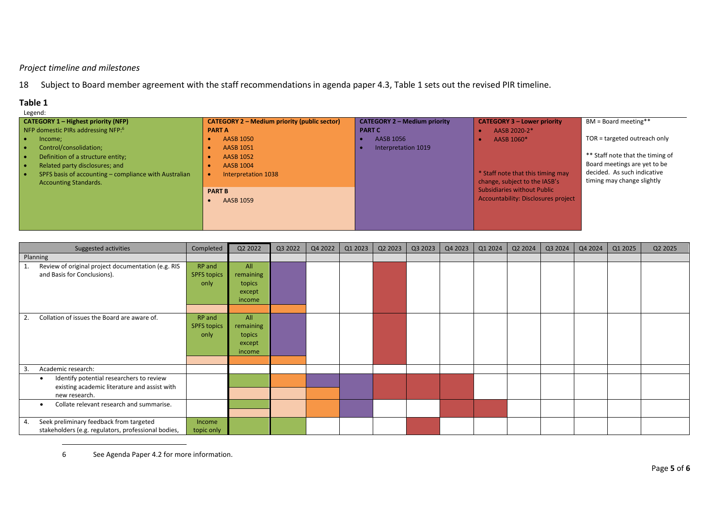## *Project timeline and milestones*

18 Subject to Board member agreement with the staff recommendations in agenda paper 4.3, Table 1 sets out the revised PIR timeline.

# **Table 1**

| Legend:                                               |                                                     |                                     |                                            |                                  |  |  |
|-------------------------------------------------------|-----------------------------------------------------|-------------------------------------|--------------------------------------------|----------------------------------|--|--|
| <b>CATEGORY 1 - Highest priority (NFP)</b>            | <b>CATEGORY 2 – Medium priority (public sector)</b> | <b>CATEGORY 2 - Medium priority</b> | <b>CATEGORY 3 - Lower priority</b>         | BM = Board meeting**             |  |  |
| NFP domestic PIRs addressing NFP: <sup>6</sup>        | <b>PART A</b>                                       | <b>PART C</b>                       | AASB 2020-2*                               |                                  |  |  |
| Income;                                               | AASB 1050                                           | AASB 1056                           | AASB 1060*                                 | TOR = targeted outreach only     |  |  |
| Control/consolidation;                                | AASB 1051                                           | Interpretation 1019                 |                                            |                                  |  |  |
| Definition of a structure entity;                     | AASB 1052                                           |                                     |                                            | ** Staff note that the timing of |  |  |
| Related party disclosures; and                        | <b>AASB 1004</b>                                    |                                     |                                            | Board meetings are yet to be     |  |  |
| SPFS basis of accounting – compliance with Australian | Interpretation 1038                                 |                                     | * Staff note that this timing may          | decided. As such indicative      |  |  |
| <b>Accounting Standards.</b>                          |                                                     |                                     | change, subject to the IASB's              | timing may change slightly       |  |  |
|                                                       | <b>PART B</b>                                       |                                     | <b>Subsidiaries without Public</b>         |                                  |  |  |
|                                                       | AASB 1059                                           |                                     | <b>Accountability: Disclosures project</b> |                                  |  |  |
|                                                       |                                                     |                                     |                                            |                                  |  |  |
|                                                       |                                                     |                                     |                                            |                                  |  |  |
|                                                       |                                                     |                                     |                                            |                                  |  |  |

<span id="page-4-1"></span><span id="page-4-0"></span>

|          | Suggested activities                                                                                                   | Completed                            | Q2 2022                                        | Q3 2022 | Q4 2022 | Q1 2023 | Q2 2023 | Q3 2023 | Q4 2023 | Q1 2024 | Q2 2024 | Q3 2024 | Q4 2024 | Q1 2025 | Q2 2025 |
|----------|------------------------------------------------------------------------------------------------------------------------|--------------------------------------|------------------------------------------------|---------|---------|---------|---------|---------|---------|---------|---------|---------|---------|---------|---------|
| Planning |                                                                                                                        |                                      |                                                |         |         |         |         |         |         |         |         |         |         |         |         |
| 1.       | Review of original project documentation (e.g. RIS<br>and Basis for Conclusions).                                      | RP and<br><b>SPFS topics</b><br>only | All<br>remaining<br>topics<br>except<br>income |         |         |         |         |         |         |         |         |         |         |         |         |
| 2.       | Collation of issues the Board are aware of.                                                                            | RP and<br><b>SPFS topics</b><br>only | All<br>remaining<br>topics<br>except<br>income |         |         |         |         |         |         |         |         |         |         |         |         |
| 3        | Academic research:                                                                                                     |                                      |                                                |         |         |         |         |         |         |         |         |         |         |         |         |
|          | Identify potential researchers to review<br>$\bullet$<br>existing academic literature and assist with<br>new research. |                                      |                                                |         |         |         |         |         |         |         |         |         |         |         |         |
|          | Collate relevant research and summarise.<br>$\bullet$                                                                  |                                      |                                                |         |         |         |         |         |         |         |         |         |         |         |         |
| 4.       | Seek preliminary feedback from targeted<br>stakeholders (e.g. regulators, professional bodies,                         | Income<br>topic only                 |                                                |         |         |         |         |         |         |         |         |         |         |         |         |

6 See Agenda Paper 4.2 for more information.